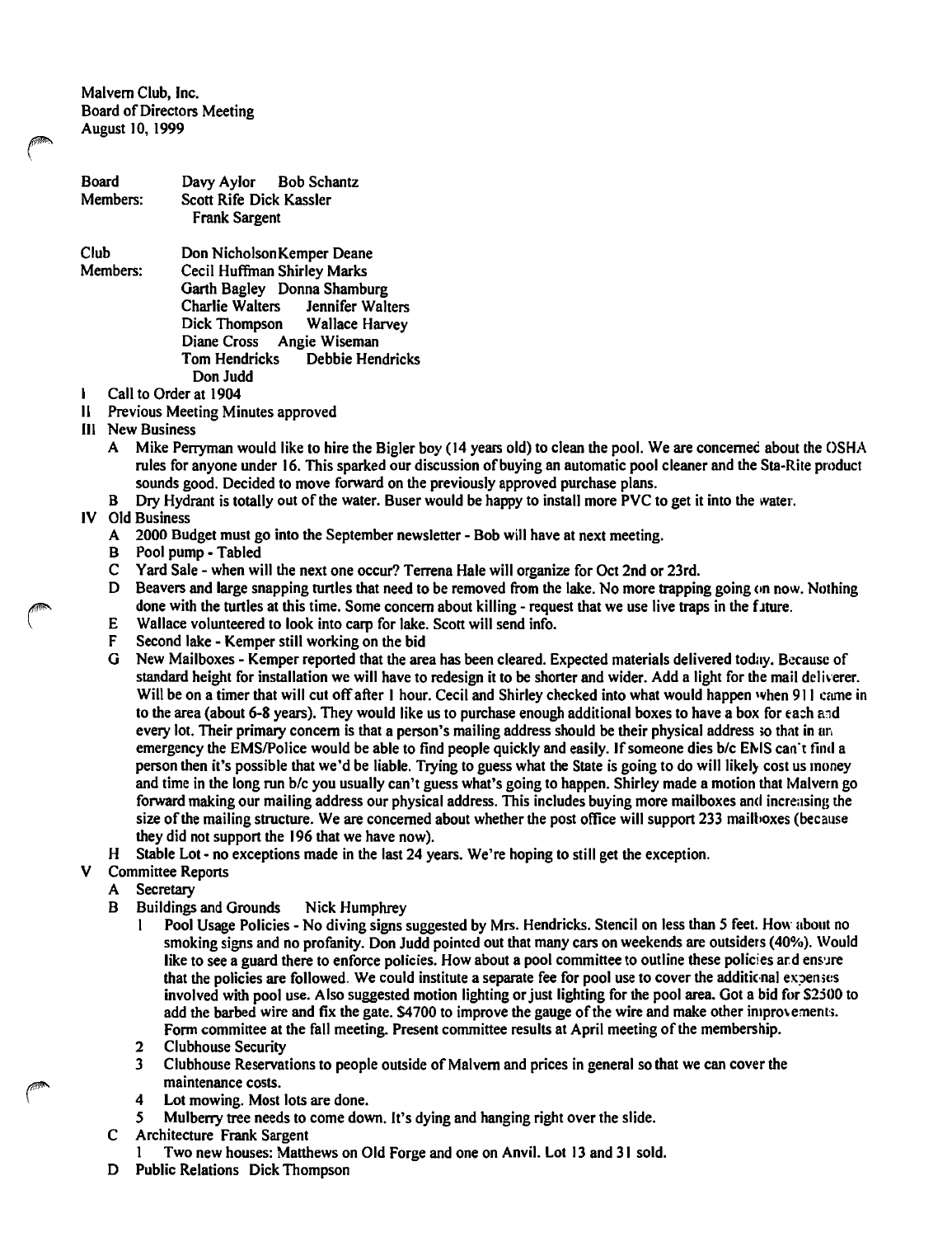Malvern Club, Inc. Board of Directors Meeting August 10, 1999

| Board<br>Members:     | Davy Aylor Bob Schantz<br>Scott Rife Dick Kassler<br>Frank Sargent |  |
|-----------------------|--------------------------------------------------------------------|--|
| Club                  | Don Nicholson Kemper Deane                                         |  |
| Members:              | Cecil Huffman Shirley Marks                                        |  |
|                       | Garth Bagley Donna Shamburg                                        |  |
|                       | Charlie Walters Jennifer Walters                                   |  |
|                       | Dick Thompson Wallace Harvey                                       |  |
|                       | Diane Cross Angie Wiseman                                          |  |
|                       | Debbie Hendricks<br>Tom Hendricks                                  |  |
|                       | Don Judd                                                           |  |
| Call to Order at 1904 |                                                                    |  |

- II Previous Meeting Minutes approved
- III New Business
	- A Mike Perryman would like to hire the Bigler boy (14 years old) to clean the pool. We are concernec about the OSHA rules for anyone under 16. This sparked our discussion of buying an automatic pool cleaner and the Sta-Rite product sounds good. Decided to move forward on the previously approved purchase plans.
	- B Dry Hydrant is totally out of the water. Buser would be happy to install more PVC to get it into the water.

## IV Old Business

- A 2000 Budget must go into the September newsletter Bob will have at next meeting.<br>B Pool pump Tabled
- B Pool pump Tabled<br>C Yard Sale when wi
- Yard Sale when will the next one occur? Terrena Hale will organize for Oct 2nd or 23rd.
- D Beavers and large snapping turtles that need to be removed from the lake. No more trapping going (on now. Nothing done with the turtles at this time. Some concern about killing - request that we use live traps in the future.
- E Wallace volunteered to look into carp for lake. Scott will send info.<br>F Second lake Kemper still working on the bid
- F Second lake Kemper still working on the bid<br>G New Mailboxes Kemper reported that the are
- G New Mailboxes Kemper reported that the area has been cleared. Expected materials delivered today. Because of standard height for installation we will have to redesign it to be shorter and wider. Add a light for the mail deliverer. Will be on a timer that will cut off after 1 hour. Cecil and Shirley checked into what would happen when 911 came in to the area (about 6-8 years). They would like us to purchase enough additional boxes to have a box for each and every lot. Their primary concern is that a person's mailing address should be their physical address so that in an emergency the EMS/Police would be able to find people quickly and easily. If someone dies b/c EMS can't find a person then it's possible that we'd be liable. Trying to guess what the State is going to do will likely cost us money and time in the long run *blc* you usually can't guess what's going to happen. Shirley made a motion that Malvern go forward making our mailing address our physical address. This includes buying more mailboxes and increasing the size ofthe mailing structure. We are concerned about whether the post office will support 233 mailboxes (because they did not support the 196 that we have now).
- H Stable Lot no exceptions made in the last 24 years. We're hoping to still get the exception.
- V Committee Reports
	- A Secretary
	- B Buildings and Grounds Nick Humphrey
		- Pool Usage Policies No diving signs suggested by Mrs. Hendricks. Stencil on less than 5 feet. How about no smoking signs and no profanity. Don Judd pointed out that many cars on weekends are outsiders (40%). Would like to see a guard there to enforce policies. How about a pool committee to outline these policies and ensure that the policies are followed. We could institute a separate fee for pool use to cover the additional expenses involved with pool use. Also suggested motion lighting or just lighting for the pool area. Got a bid for \$2500 to add the barbed wire and fix the gate. \$4700 to improve the gauge of the wire and make other improvements. Form committee at the fall meeting. Present committee results at April meeting of the membership.
		- 2 Clubhouse Security<br>3 Clubhouse Reserval
		- Clubhouse Reservations to people outside of Malvern and prices in general so that we can cover the maintenance costs.
		- 4 Lot mowing. Most lots are done.<br>5 Mulberry tree needs to come dow
		- *S* Mulberry tree needs to come down. It's dying and hanging right over the slide.
	- C Architecture Frank Sargent
		- 1 Two new houses: Matthews on Old Forge and one on Anvil. Lot 13 and 31 sold.
	- D Public Relations Dick Thompson